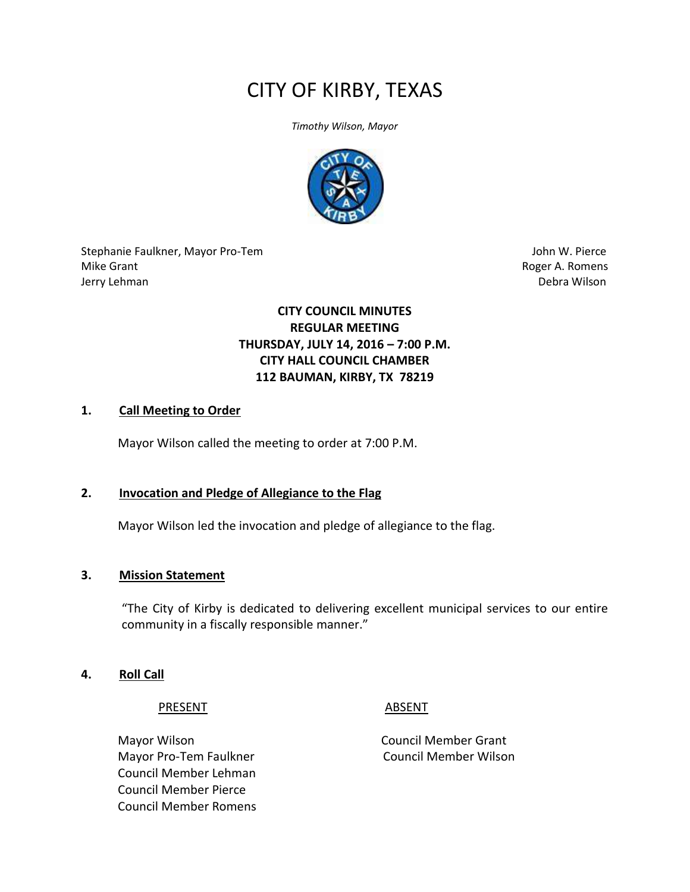# CITY OF KIRBY, TEXAS

*Timothy Wilson, Mayor*



Stephanie Faulkner, Mayor Pro-Tem John W. Pierce Mike Grant **Roger A. Romens** Jerry Lehman Debra Wilson

# **CITY COUNCIL MINUTES REGULAR MEETING THURSDAY, JULY 14, 2016 – 7:00 P.M. CITY HALL COUNCIL CHAMBER 112 BAUMAN, KIRBY, TX 78219**

#### **1. Call Meeting to Order**

Mayor Wilson called the meeting to order at 7:00 P.M.

#### **2. Invocation and Pledge of Allegiance to the Flag**

Mayor Wilson led the invocation and pledge of allegiance to the flag.

#### **3. Mission Statement**

"The City of Kirby is dedicated to delivering excellent municipal services to our entire community in a fiscally responsible manner."

#### **4. Roll Call**

PRESENT ABSENT

Mayor Wilson **Mayor Wilson** Council Member Grant Mayor Pro-Tem Faulkner Council Member Wilson Council Member Lehman Council Member Pierce Council Member Romens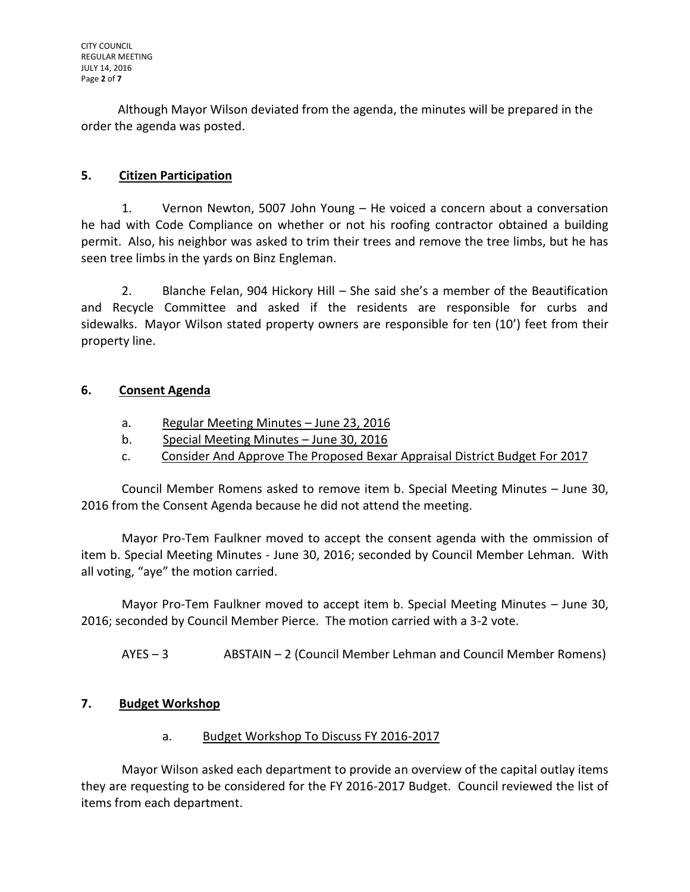Although Mayor Wilson deviated from the agenda, the minutes will be prepared in the order the agenda was posted.

# **5. Citizen Participation**

1. Vernon Newton, 5007 John Young – He voiced a concern about a conversation he had with Code Compliance on whether or not his roofing contractor obtained a building permit. Also, his neighbor was asked to trim their trees and remove the tree limbs, but he has seen tree limbs in the yards on Binz Engleman.

2. Blanche Felan, 904 Hickory Hill – She said she's a member of the Beautification and Recycle Committee and asked if the residents are responsible for curbs and sidewalks. Mayor Wilson stated property owners are responsible for ten (10') feet from their property line.

# **6. Consent Agenda**

- a. Regular Meeting Minutes June 23, 2016
- b. Special Meeting Minutes June 30, 2016
- c. Consider And Approve The Proposed Bexar Appraisal District Budget For 2017

Council Member Romens asked to remove item b. Special Meeting Minutes – June 30, 2016 from the Consent Agenda because he did not attend the meeting.

Mayor Pro-Tem Faulkner moved to accept the consent agenda with the ommission of item b. Special Meeting Minutes - June 30, 2016; seconded by Council Member Lehman. With all voting, "aye" the motion carried.

Mayor Pro-Tem Faulkner moved to accept item b. Special Meeting Minutes – June 30, 2016; seconded by Council Member Pierce. The motion carried with a 3-2 vote.

AYES – 3 ABSTAIN – 2 (Council Member Lehman and Council Member Romens)

# **7. Budget Workshop**

# a. Budget Workshop To Discuss FY 2016-2017

Mayor Wilson asked each department to provide an overview of the capital outlay items they are requesting to be considered for the FY 2016-2017 Budget. Council reviewed the list of items from each department.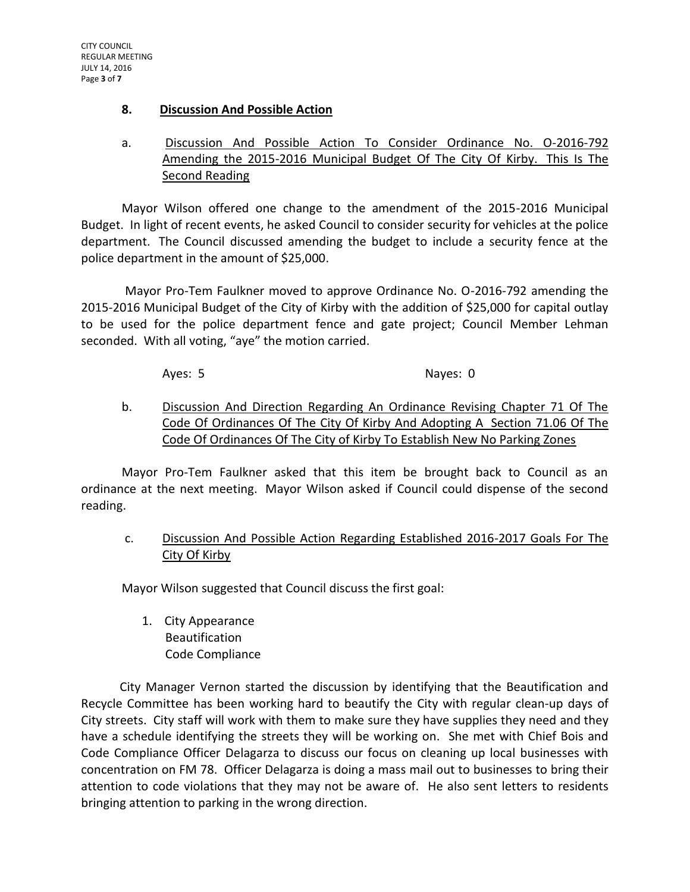#### **8. Discussion And Possible Action**

# a. Discussion And Possible Action To Consider Ordinance No. O-2016-792 Amending the 2015-2016 Municipal Budget Of The City Of Kirby. This Is The Second Reading

Mayor Wilson offered one change to the amendment of the 2015-2016 Municipal Budget. In light of recent events, he asked Council to consider security for vehicles at the police department. The Council discussed amending the budget to include a security fence at the police department in the amount of \$25,000.

 Mayor Pro-Tem Faulkner moved to approve Ordinance No. O-2016-792 amending the 2015-2016 Municipal Budget of the City of Kirby with the addition of \$25,000 for capital outlay to be used for the police department fence and gate project; Council Member Lehman seconded. With all voting, "aye" the motion carried.

#### Ayes: 5 Nayes: 0

b. Discussion And Direction Regarding An Ordinance Revising Chapter 71 Of The Code Of Ordinances Of The City Of Kirby And Adopting A Section 71.06 Of The Code Of Ordinances Of The City of Kirby To Establish New No Parking Zones

Mayor Pro-Tem Faulkner asked that this item be brought back to Council as an ordinance at the next meeting. Mayor Wilson asked if Council could dispense of the second reading.

c. Discussion And Possible Action Regarding Established 2016-2017 Goals For The City Of Kirby

Mayor Wilson suggested that Council discuss the first goal:

1. City Appearance Beautification Code Compliance

 City Manager Vernon started the discussion by identifying that the Beautification and Recycle Committee has been working hard to beautify the City with regular clean-up days of City streets. City staff will work with them to make sure they have supplies they need and they have a schedule identifying the streets they will be working on. She met with Chief Bois and Code Compliance Officer Delagarza to discuss our focus on cleaning up local businesses with concentration on FM 78. Officer Delagarza is doing a mass mail out to businesses to bring their attention to code violations that they may not be aware of. He also sent letters to residents bringing attention to parking in the wrong direction.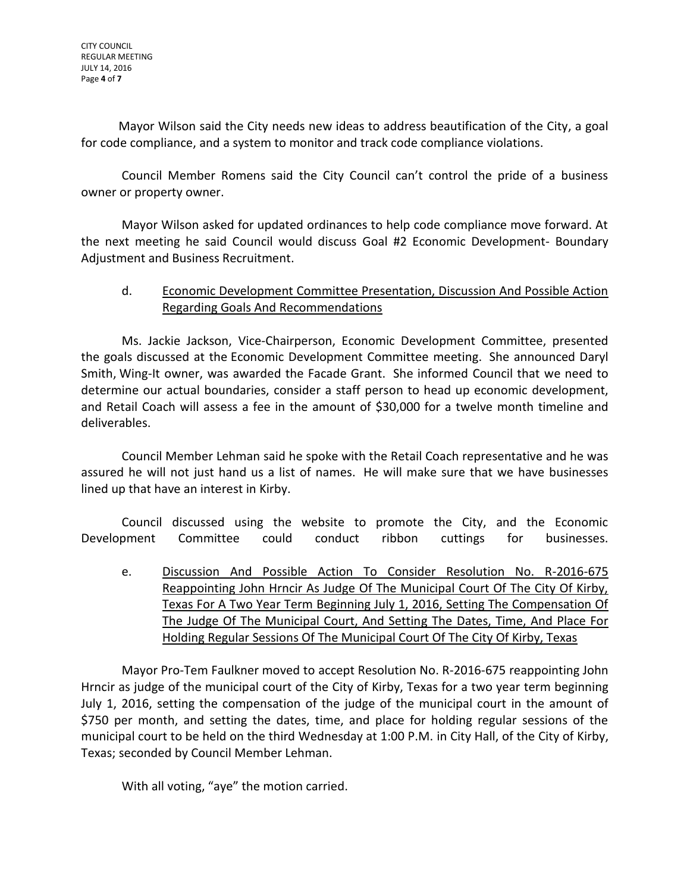Mayor Wilson said the City needs new ideas to address beautification of the City, a goal for code compliance, and a system to monitor and track code compliance violations.

 Council Member Romens said the City Council can't control the pride of a business owner or property owner.

Mayor Wilson asked for updated ordinances to help code compliance move forward. At the next meeting he said Council would discuss Goal #2 Economic Development- Boundary Adjustment and Business Recruitment.

# d. Economic Development Committee Presentation, Discussion And Possible Action Regarding Goals And Recommendations

Ms. Jackie Jackson, Vice-Chairperson, Economic Development Committee, presented the goals discussed at the Economic Development Committee meeting. She announced Daryl Smith, Wing-It owner, was awarded the Facade Grant. She informed Council that we need to determine our actual boundaries, consider a staff person to head up economic development, and Retail Coach will assess a fee in the amount of \$30,000 for a twelve month timeline and deliverables.

Council Member Lehman said he spoke with the Retail Coach representative and he was assured he will not just hand us a list of names. He will make sure that we have businesses lined up that have an interest in Kirby.

Council discussed using the website to promote the City, and the Economic Development Committee could conduct ribbon cuttings for businesses.

e. Discussion And Possible Action To Consider Resolution No. R-2016-675 Reappointing John Hrncir As Judge Of The Municipal Court Of The City Of Kirby, Texas For A Two Year Term Beginning July 1, 2016, Setting The Compensation Of The Judge Of The Municipal Court, And Setting The Dates, Time, And Place For Holding Regular Sessions Of The Municipal Court Of The City Of Kirby, Texas

Mayor Pro-Tem Faulkner moved to accept Resolution No. R-2016-675 reappointing John Hrncir as judge of the municipal court of the City of Kirby, Texas for a two year term beginning July 1, 2016, setting the compensation of the judge of the municipal court in the amount of \$750 per month, and setting the dates, time, and place for holding regular sessions of the municipal court to be held on the third Wednesday at 1:00 P.M. in City Hall, of the City of Kirby, Texas; seconded by Council Member Lehman.

With all voting, "aye" the motion carried.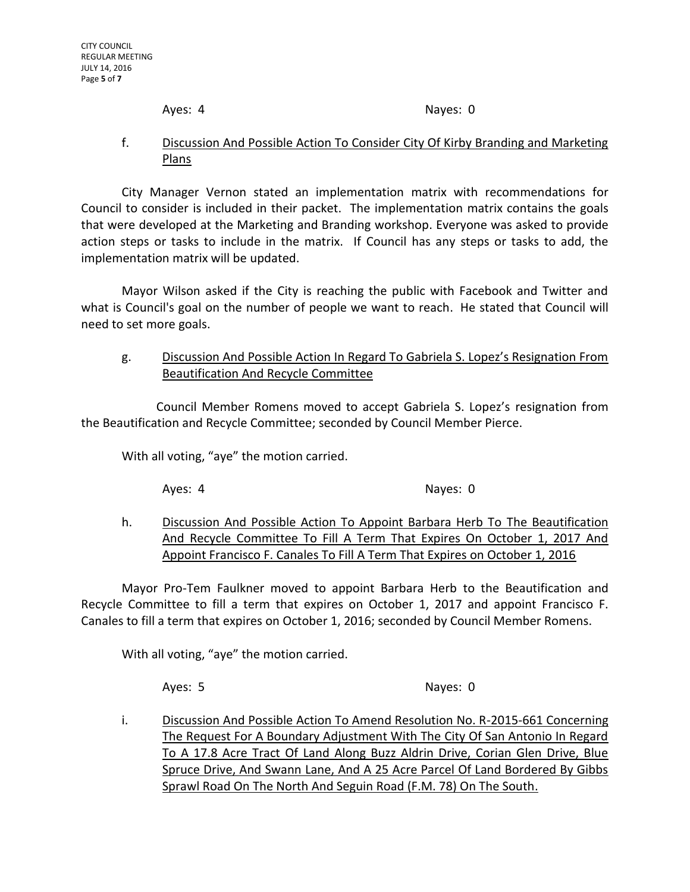Ayes: 4 Nayes: 0

#### f. Discussion And Possible Action To Consider City Of Kirby Branding and Marketing Plans

City Manager Vernon stated an implementation matrix with recommendations for Council to consider is included in their packet. The implementation matrix contains the goals that were developed at the Marketing and Branding workshop. Everyone was asked to provide action steps or tasks to include in the matrix. If Council has any steps or tasks to add, the implementation matrix will be updated.

Mayor Wilson asked if the City is reaching the public with Facebook and Twitter and what is Council's goal on the number of people we want to reach. He stated that Council will need to set more goals.

# g. Discussion And Possible Action In Regard To Gabriela S. Lopez's Resignation From Beautification And Recycle Committee

 Council Member Romens moved to accept Gabriela S. Lopez's resignation from the Beautification and Recycle Committee; seconded by Council Member Pierce.

With all voting, "aye" the motion carried.

Ayes: 4 Nayes: 0

h. Discussion And Possible Action To Appoint Barbara Herb To The Beautification And Recycle Committee To Fill A Term That Expires On October 1, 2017 And Appoint Francisco F. Canales To Fill A Term That Expires on October 1, 2016

Mayor Pro-Tem Faulkner moved to appoint Barbara Herb to the Beautification and Recycle Committee to fill a term that expires on October 1, 2017 and appoint Francisco F. Canales to fill a term that expires on October 1, 2016; seconded by Council Member Romens.

With all voting, "aye" the motion carried.

Ayes: 5 Nayes: 0

i. Discussion And Possible Action To Amend Resolution No. R-2015-661 Concerning The Request For A Boundary Adjustment With The City Of San Antonio In Regard To A 17.8 Acre Tract Of Land Along Buzz Aldrin Drive, Corian Glen Drive, Blue Spruce Drive, And Swann Lane, And A 25 Acre Parcel Of Land Bordered By Gibbs Sprawl Road On The North And Seguin Road (F.M. 78) On The South.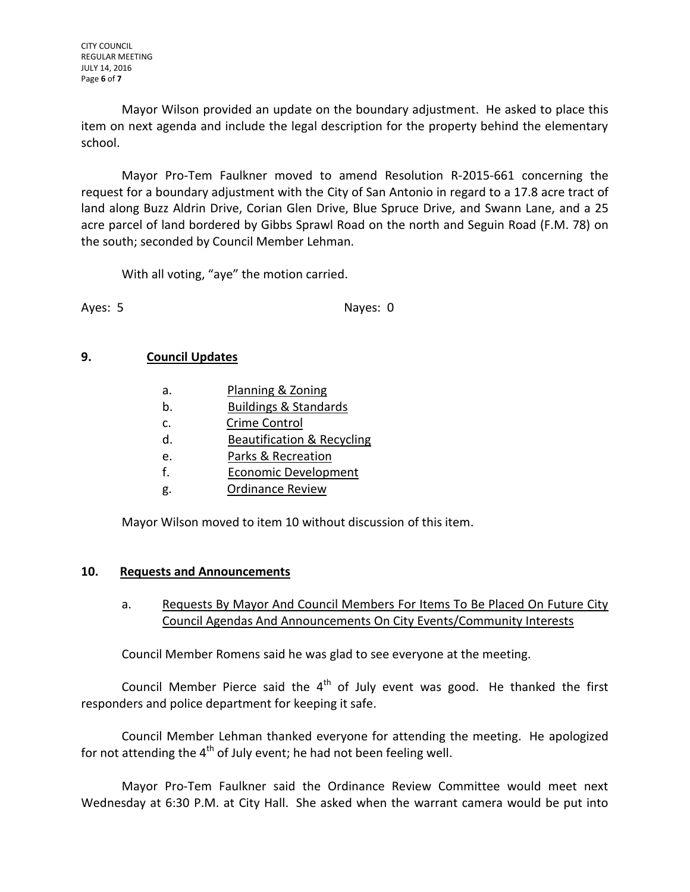CITY COUNCIL REGULAR MEETING JULY 14, 2016 Page **6** of **7**

Mayor Wilson provided an update on the boundary adjustment. He asked to place this item on next agenda and include the legal description for the property behind the elementary school.

Mayor Pro-Tem Faulkner moved to amend Resolution R-2015-661 concerning the request for a boundary adjustment with the City of San Antonio in regard to a 17.8 acre tract of land along Buzz Aldrin Drive, Corian Glen Drive, Blue Spruce Drive, and Swann Lane, and a 25 acre parcel of land bordered by Gibbs Sprawl Road on the north and Seguin Road (F.M. 78) on the south; seconded by Council Member Lehman.

With all voting, "aye" the motion carried.

Ayes: 5 Nayes: 0

#### **9. Council Updates**

| a.             | Planning & Zoning                |
|----------------|----------------------------------|
| b.             | <b>Buildings &amp; Standards</b> |
| C.             | Crime Control                    |
| d.             | Beautification & Recycling       |
| $\mathsf{e}$ . | Parks & Recreation               |
| f.             | <b>Economic Development</b>      |
| g.             | <b>Ordinance Review</b>          |

Mayor Wilson moved to item 10 without discussion of this item.

#### **10. Requests and Announcements**

a. Requests By Mayor And Council Members For Items To Be Placed On Future City Council Agendas And Announcements On City Events/Community Interests

Council Member Romens said he was glad to see everyone at the meeting.

Council Member Pierce said the  $4<sup>th</sup>$  of July event was good. He thanked the first responders and police department for keeping it safe.

Council Member Lehman thanked everyone for attending the meeting. He apologized for not attending the 4<sup>th</sup> of July event; he had not been feeling well.

Mayor Pro-Tem Faulkner said the Ordinance Review Committee would meet next Wednesday at 6:30 P.M. at City Hall. She asked when the warrant camera would be put into